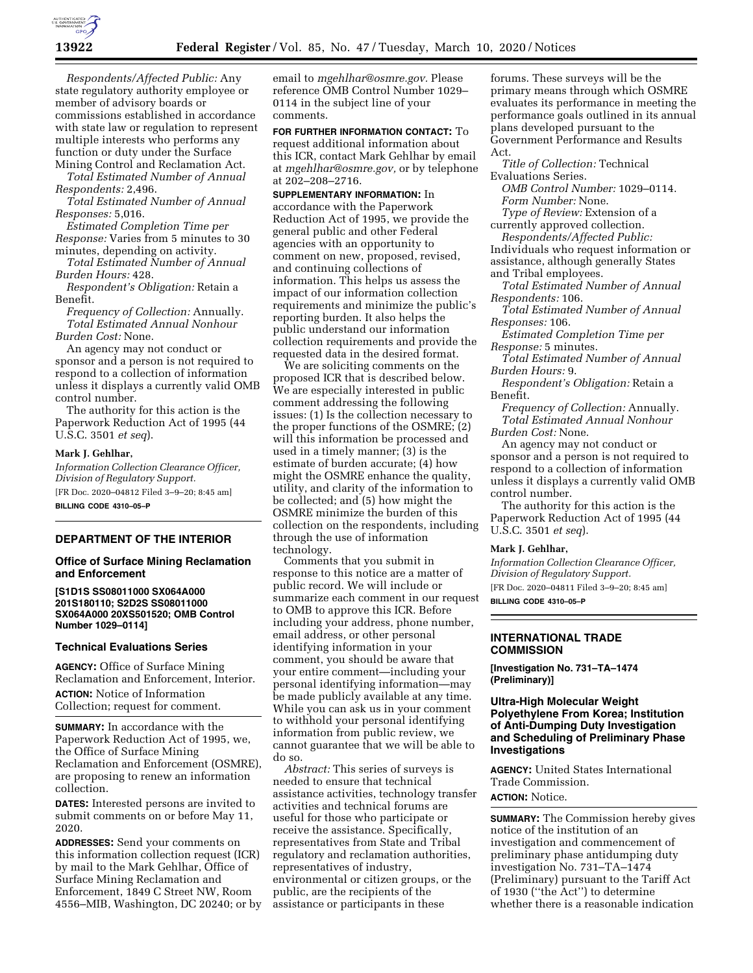

*Respondents/Affected Public:* Any state regulatory authority employee or member of advisory boards or commissions established in accordance with state law or regulation to represent multiple interests who performs any function or duty under the Surface Mining Control and Reclamation Act.

*Total Estimated Number of Annual Respondents:* 2,496.

*Total Estimated Number of Annual Responses:* 5,016.

*Estimated Completion Time per Response:* Varies from 5 minutes to 30 minutes, depending on activity.

*Total Estimated Number of Annual Burden Hours:* 428.

*Respondent's Obligation:* Retain a Benefit.

*Frequency of Collection:* Annually. *Total Estimated Annual Nonhour Burden Cost:* None.

An agency may not conduct or sponsor and a person is not required to respond to a collection of information unless it displays a currently valid OMB control number.

The authority for this action is the Paperwork Reduction Act of 1995 (44 U.S.C. 3501 *et seq*).

#### **Mark J. Gehlhar,**

*Information Collection Clearance Officer, Division of Regulatory Support.*  [FR Doc. 2020–04812 Filed 3–9–20; 8:45 am] **BILLING CODE 4310–05–P** 

**DEPARTMENT OF THE INTERIOR** 

### **Office of Surface Mining Reclamation and Enforcement**

**[S1D1S SS08011000 SX064A000 201S180110; S2D2S SS08011000 SX064A000 20XS501520; OMB Control Number 1029–0114]** 

### **Technical Evaluations Series**

**AGENCY:** Office of Surface Mining Reclamation and Enforcement, Interior. **ACTION:** Notice of Information Collection; request for comment.

**SUMMARY:** In accordance with the Paperwork Reduction Act of 1995, we, the Office of Surface Mining Reclamation and Enforcement (OSMRE), are proposing to renew an information collection.

**DATES:** Interested persons are invited to submit comments on or before May 11, 2020.

**ADDRESSES:** Send your comments on this information collection request (ICR) by mail to the Mark Gehlhar, Office of Surface Mining Reclamation and Enforcement, 1849 C Street NW, Room 4556–MIB, Washington, DC 20240; or by email to *[mgehlhar@osmre.gov.](mailto:mgehlhar@osmre.gov)* Please reference OMB Control Number 1029– 0114 in the subject line of your comments.

**FOR FURTHER INFORMATION CONTACT:** To request additional information about this ICR, contact Mark Gehlhar by email at *[mgehlhar@osmre.gov,](mailto:mgehlhar@osmre.gov)* or by telephone at 202–208–2716.

**SUPPLEMENTARY INFORMATION:** In accordance with the Paperwork Reduction Act of 1995, we provide the general public and other Federal agencies with an opportunity to comment on new, proposed, revised, and continuing collections of information. This helps us assess the impact of our information collection requirements and minimize the public's reporting burden. It also helps the public understand our information collection requirements and provide the requested data in the desired format.

We are soliciting comments on the proposed ICR that is described below. We are especially interested in public comment addressing the following issues: (1) Is the collection necessary to the proper functions of the OSMRE; (2) will this information be processed and used in a timely manner; (3) is the estimate of burden accurate; (4) how might the OSMRE enhance the quality, utility, and clarity of the information to be collected; and (5) how might the OSMRE minimize the burden of this collection on the respondents, including through the use of information technology.

Comments that you submit in response to this notice are a matter of public record. We will include or summarize each comment in our request to OMB to approve this ICR. Before including your address, phone number, email address, or other personal identifying information in your comment, you should be aware that your entire comment—including your personal identifying information—may be made publicly available at any time. While you can ask us in your comment to withhold your personal identifying information from public review, we cannot guarantee that we will be able to do so.

*Abstract:* This series of surveys is needed to ensure that technical assistance activities, technology transfer activities and technical forums are useful for those who participate or receive the assistance. Specifically, representatives from State and Tribal regulatory and reclamation authorities, representatives of industry, environmental or citizen groups, or the public, are the recipients of the assistance or participants in these

forums. These surveys will be the primary means through which OSMRE evaluates its performance in meeting the performance goals outlined in its annual plans developed pursuant to the Government Performance and Results Act.

*Title of Collection:* Technical Evaluations Series.

*OMB Control Number:* 1029–0114. *Form Number:* None.

*Type of Review:* Extension of a currently approved collection.

*Respondents/Affected Public:*  Individuals who request information or assistance, although generally States

and Tribal employees.

*Total Estimated Number of Annual Respondents:* 106.

*Total Estimated Number of Annual Responses:* 106.

*Estimated Completion Time per Response:* 5 minutes.

*Total Estimated Number of Annual Burden Hours:* 9.

*Respondent's Obligation:* Retain a Benefit.

*Frequency of Collection:* Annually. *Total Estimated Annual Nonhour Burden Cost:* None.

An agency may not conduct or sponsor and a person is not required to respond to a collection of information unless it displays a currently valid OMB control number.

The authority for this action is the Paperwork Reduction Act of 1995 (44 U.S.C. 3501 *et seq*).

### **Mark J. Gehlhar,**

*Information Collection Clearance Officer, Division of Regulatory Support.*  [FR Doc. 2020–04811 Filed 3–9–20; 8:45 am]

**BILLING CODE 4310–05–P** 

## **INTERNATIONAL TRADE COMMISSION**

**[Investigation No. 731–TA–1474 (Preliminary)]** 

# **Ultra-High Molecular Weight Polyethylene From Korea; Institution of Anti-Dumping Duty Investigation and Scheduling of Preliminary Phase Investigations**

**AGENCY:** United States International Trade Commission.

# **ACTION:** Notice.

**SUMMARY:** The Commission hereby gives notice of the institution of an investigation and commencement of preliminary phase antidumping duty investigation No. 731–TA–1474 (Preliminary) pursuant to the Tariff Act of 1930 (''the Act'') to determine whether there is a reasonable indication